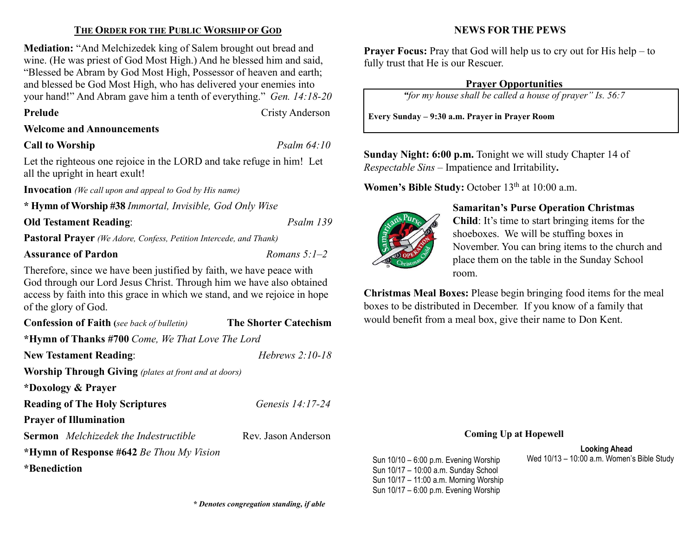# THE ORDER FOR THE PUBLIC WORSHIP OF GOD

Mediation: "And Melchizedek king of Salem brought out bread and wine. (He was priest of God Most High.) And he blessed him and said, "Blessed be Abram by God Most High, Possessor of heaven and earth; and blessed be God Most High, who has delivered your enemies into your hand!" And Abram gave him a tenth of everything." Gen. 14:18-20

Prelude Cristy Anderson

# Welcome and Announcements

# Call to Worship Psalm 64:10

Let the righteous one rejoice in the LORD and take refuge in him! Let all the upright in heart exult!

Invocation (We call upon and appeal to God by His name)

\* Hymn of Worship #38 Immortal, Invisible, God Only Wise

Old Testament Reading: Psalm 139

Pastoral Prayer (We Adore, Confess, Petition Intercede, and Thank)

# Assurance of Pardon  $\n *Romans* 5:1–2$

Therefore, since we have been justified by faith, we have peace with God through our Lord Jesus Christ. Through him we have also obtained access by faith into this grace in which we stand, and we rejoice in hope of the glory of God.

Confession of Faith (see back of bulletin) The Shorter Catechism \*Hymn of Thanks #700 Come, We That Love The Lord New Testament Reading: Hebrews 2:10-18 Worship Through Giving (plates at front and at doors) \*Doxology & Prayer Reading of The Holy Scriptures Genesis 14:17-24 Prayer of Illumination Sermon Melchizedek the Indestructible Rev. Jason Anderson \*Hymn of Response #642 Be Thou My Vision \*Benediction

# NEWS FOR THE PEWS

**Prayer Focus:** Pray that God will help us to cry out for His help – to fully trust that He is our Rescuer.

# Prayer Opportunities

"for my house shall be called a house of prayer" Is. 56:7

Every Sunday – 9:30 a.m. Prayer in Prayer Room

Sunday Night: 6:00 p.m. Tonight we will study Chapter 14 of Respectable Sins – Impatience and Irritability.

Women's Bible Study: October  $13<sup>th</sup>$  at  $10:00$  a.m.



Sun 10/17 – 10:00 a.m. Sunday School Sun 10/17 – 11:00 a.m. Morning Worship Sun 10/17 – 6:00 p.m. Evening Worship

# Samaritan's Purse Operation Christmas

Child: It's time to start bringing items for the shoeboxes. We will be stuffing boxes in November. You can bring items to the church and place them on the table in the Sunday School room.

Christmas Meal Boxes: Please begin bringing food items for the meal boxes to be distributed in December. If you know of a family that would benefit from a meal box, give their name to Don Kent.

#### Coming Up at Hopewell

Looking Ahead Sun 10/10 – 6:00 p.m. Evening Worship Wed 10/13 – 10:00 a.m. Women's Bible Study

\* Denotes congregation standing, if able